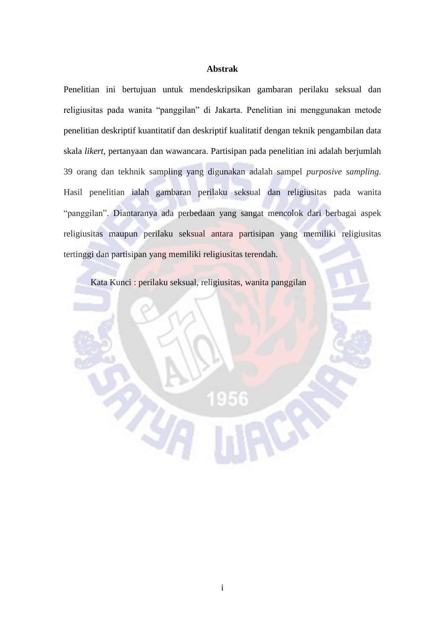## **Abstrak**

Penelitian ini bertujuan untuk mendeskripsikan gambaran perilaku seksual dan religiusitas pada wanita "panggilan" di Jakarta. Penelitian ini menggunakan metode penelitian deskriptif kuantitatif dan deskriptif kualitatif dengan teknik pengambilan data skala *likert,* pertanyaan dan wawancara. Partisipan pada penelitian ini adalah berjumlah 39 orang dan tekhnik sampling yang digunakan adalah sampel *purposive sampling.*  Hasil penelitian ialah gambaran perilaku seksual dan religiusitas pada wanita "panggilan". Diantaranya ada perbedaan yang sangat mencolok dari berbagai aspek religiusitas maupun perilaku seksual antara partisipan yang memiliki religiusitas tertinggi dan partisipan yang memiliki religiusitas terendah.

Kata Kunci : perilaku seksual, religiusitas, wanita panggilan